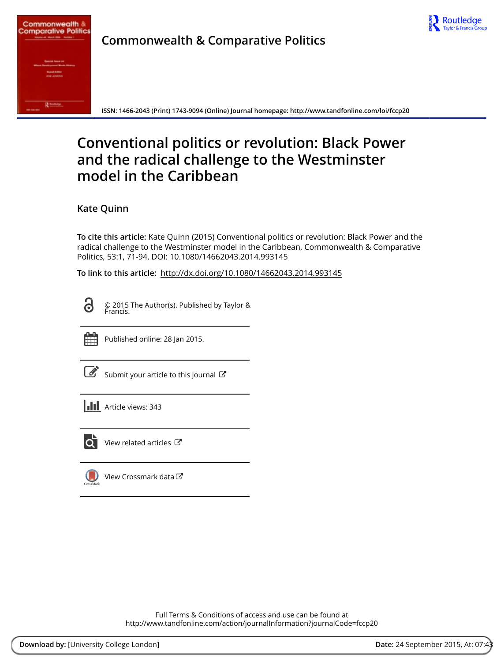



**Commonwealth & Comparative Politics**

**ISSN: 1466-2043 (Print) 1743-9094 (Online) Journal homepage:<http://www.tandfonline.com/loi/fccp20>**

# **Conventional politics or revolution: Black Power and the radical challenge to the Westminster model in the Caribbean**

**Kate Quinn**

**To cite this article:** Kate Quinn (2015) Conventional politics or revolution: Black Power and the radical challenge to the Westminster model in the Caribbean, Commonwealth & Comparative Politics, 53:1, 71-94, DOI: [10.1080/14662043.2014.993145](http://www.tandfonline.com/action/showCitFormats?doi=10.1080/14662043.2014.993145)

**To link to this article:** <http://dx.doi.org/10.1080/14662043.2014.993145>

O

© 2015 The Author(s). Published by Taylor & Francis.



Published online: 28 Jan 2015.

| I |
|---|

[Submit your article to this journal](http://www.tandfonline.com/action/authorSubmission?journalCode=fccp20&page=instructions)  $\mathbb{Z}$ 

| <b>III</b> Article views: 343 |
|-------------------------------|
|                               |



[View related articles](http://www.tandfonline.com/doi/mlt/10.1080/14662043.2014.993145)  $\mathbb{Z}$ 



[View Crossmark data](http://crossmark.crossref.org/dialog/?doi=10.1080/14662043.2014.993145&domain=pdf&date_stamp=2015-01-28)<sup>C</sup>

Full Terms & Conditions of access and use can be found at <http://www.tandfonline.com/action/journalInformation?journalCode=fccp20>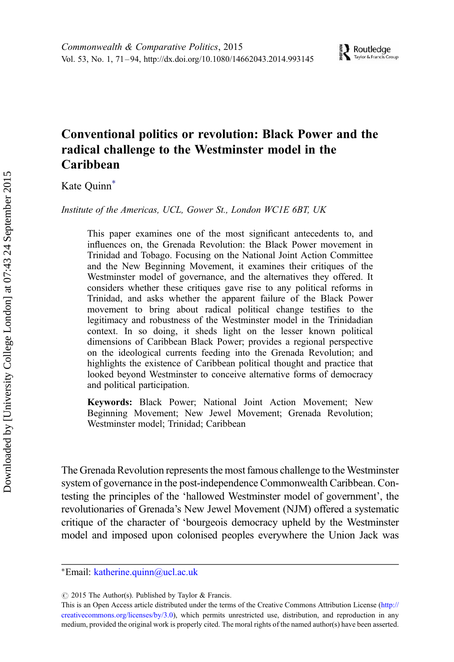# Conventional politics or revolution: Black Power and the radical challenge to the Westminster model in the Caribbean

Kate Quinn<sup>\*</sup>

Institute of the Americas, UCL, Gower St., London WC1E 6BT, UK

This paper examines one of the most significant antecedents to, and influences on, the Grenada Revolution: the Black Power movement in Trinidad and Tobago. Focusing on the National Joint Action Committee and the New Beginning Movement, it examines their critiques of the Westminster model of governance, and the alternatives they offered. It considers whether these critiques gave rise to any political reforms in Trinidad, and asks whether the apparent failure of the Black Power movement to bring about radical political change testifies to the legitimacy and robustness of the Westminster model in the Trinidadian context. In so doing, it sheds light on the lesser known political dimensions of Caribbean Black Power; provides a regional perspective on the ideological currents feeding into the Grenada Revolution; and highlights the existence of Caribbean political thought and practice that looked beyond Westminster to conceive alternative forms of democracy and political participation.

Keywords: Black Power; National Joint Action Movement; New Beginning Movement; New Jewel Movement; Grenada Revolution; Westminster model; Trinidad; Caribbean

The Grenada Revolution represents the most famous challenge to the Westminster system of governance in the post-independence Commonwealth Caribbean. Contesting the principles of the 'hallowed Westminster model of government', the revolutionaries of Grenada's New Jewel Movement (NJM) offered a systematic critique of the character of 'bourgeois democracy upheld by the Westminster model and imposed upon colonised peoples everywhere the Union Jack was

<sup>∗</sup>Email: [katherine.quinn@ucl.ac.uk](mailto:katherine.quinn@ucl.ac.uk)

 $\circ$  2015 The Author(s). Published by Taylor & Francis.

This is an Open Access article distributed under the terms of the Creative Commons Attribution License [\(http://](http://creativecommons.org/licenses/by/3.0) [creativecommons.org/licenses/by/3.0\)](http://creativecommons.org/licenses/by/3.0), which permits unrestricted use, distribution, and reproduction in any medium, provided the original work is properly cited. The moral rights of the named author(s) have been asserted.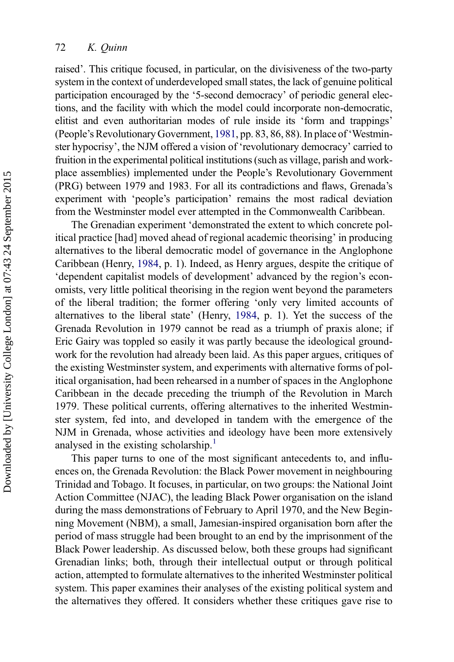raised'. This critique focused, in particular, on the divisiveness of the two-party system in the context of underdeveloped small states, the lack of genuine political participation encouraged by the '5-second democracy' of periodic general elections, and the facility with which the model could incorporate non-democratic, elitist and even authoritarian modes of rule inside its 'form and trappings' (People's Revolutionary Government, [1981,](#page-24-0) pp. 83, 86, 88). In place of 'Westminster hypocrisy', the NJM offered a vision of 'revolutionary democracy' carried to fruition in the experimental political institutions (such as village, parish and workplace assemblies) implemented under the People's Revolutionary Government (PRG) between 1979 and 1983. For all its contradictions and flaws, Grenada's experiment with 'people's participation' remains the most radical deviation from the Westminster model ever attempted in the Commonwealth Caribbean.

The Grenadian experiment 'demonstrated the extent to which concrete political practice [had] moved ahead of regional academic theorising' in producing alternatives to the liberal democratic model of governance in the Anglophone Caribbean (Henry, [1984,](#page-23-0) p. 1). Indeed, as Henry argues, despite the critique of 'dependent capitalist models of development' advanced by the region's economists, very little political theorising in the region went beyond the parameters of the liberal tradition; the former offering 'only very limited accounts of alternatives to the liberal state' (Henry, [1984](#page-23-0), p. 1). Yet the success of the Grenada Revolution in 1979 cannot be read as a triumph of praxis alone; if Eric Gairy was toppled so easily it was partly because the ideological groundwork for the revolution had already been laid. As this paper argues, critiques of the existing Westminster system, and experiments with alternative forms of political organisation, had been rehearsed in a number of spaces in the Anglophone Caribbean in the decade preceding the triumph of the Revolution in March 1979. These political currents, offering alternatives to the inherited Westminster system, fed into, and developed in tandem with the emergence of the NJM in Grenada, whose activities and ideology have been more extensively analysed in the existing scholarship.<sup>[1](#page-21-0)</sup>

This paper turns to one of the most significant antecedents to, and influences on, the Grenada Revolution: the Black Power movement in neighbouring Trinidad and Tobago. It focuses, in particular, on two groups: the National Joint Action Committee (NJAC), the leading Black Power organisation on the island during the mass demonstrations of February to April 1970, and the New Beginning Movement (NBM), a small, Jamesian-inspired organisation born after the period of mass struggle had been brought to an end by the imprisonment of the Black Power leadership. As discussed below, both these groups had significant Grenadian links; both, through their intellectual output or through political action, attempted to formulate alternatives to the inherited Westminster political system. This paper examines their analyses of the existing political system and the alternatives they offered. It considers whether these critiques gave rise to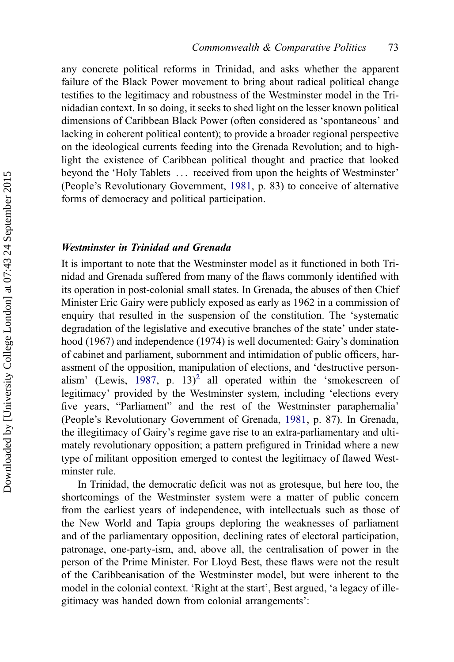any concrete political reforms in Trinidad, and asks whether the apparent failure of the Black Power movement to bring about radical political change testifies to the legitimacy and robustness of the Westminster model in the Trinidadian context. In so doing, it seeks to shed light on the lesser known political dimensions of Caribbean Black Power (often considered as 'spontaneous' and lacking in coherent political content); to provide a broader regional perspective on the ideological currents feeding into the Grenada Revolution; and to highlight the existence of Caribbean political thought and practice that looked beyond the 'Holy Tablets ... received from upon the heights of Westminster' (People's Revolutionary Government, [1981,](#page-24-0) p. 83) to conceive of alternative forms of democracy and political participation.

# Westminster in Trinidad and Grenada

It is important to note that the Westminster model as it functioned in both Trinidad and Grenada suffered from many of the flaws commonly identified with its operation in post-colonial small states. In Grenada, the abuses of then Chief Minister Eric Gairy were publicly exposed as early as 1962 in a commission of enquiry that resulted in the suspension of the constitution. The 'systematic degradation of the legislative and executive branches of the state' under statehood (1967) and independence (1974) is well documented: Gairy's domination of cabinet and parliament, subornment and intimidation of public officers, harassment of the opposition, manipulation of elections, and 'destructive person-alism' (Lewis, [1987,](#page-23-0) p. 13)<sup>[2](#page-21-0)</sup> all operated within the 'smokescreen of legitimacy' provided by the Westminster system, including 'elections every five years, "Parliament" and the rest of the Westminster paraphernalia' (People's Revolutionary Government of Grenada, [1981](#page-24-0), p. 87). In Grenada, the illegitimacy of Gairy's regime gave rise to an extra-parliamentary and ultimately revolutionary opposition; a pattern prefigured in Trinidad where a new type of militant opposition emerged to contest the legitimacy of flawed Westminster rule.

In Trinidad, the democratic deficit was not as grotesque, but here too, the shortcomings of the Westminster system were a matter of public concern from the earliest years of independence, with intellectuals such as those of the New World and Tapia groups deploring the weaknesses of parliament and of the parliamentary opposition, declining rates of electoral participation, patronage, one-party-ism, and, above all, the centralisation of power in the person of the Prime Minister. For Lloyd Best, these flaws were not the result of the Caribbeanisation of the Westminster model, but were inherent to the model in the colonial context. 'Right at the start', Best argued, 'a legacy of illegitimacy was handed down from colonial arrangements':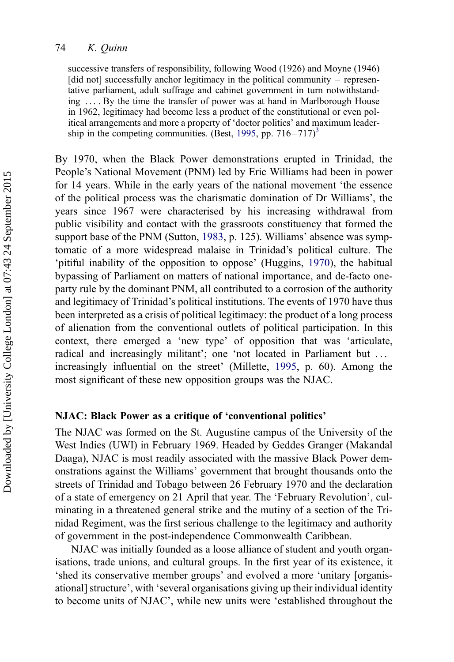## 74 K. Quinn

successive transfers of responsibility, following Wood (1926) and Moyne (1946) [did not] successfully anchor legitimacy in the political community – representative parliament, adult suffrage and cabinet government in turn notwithstanding ... . By the time the transfer of power was at hand in Marlborough House in 1962, legitimacy had become less a product of the constitutional or even political arrangements and more a property of 'doctor politics' and maximum leader-ship in the competing communities. (Best, [1995,](#page-23-0) pp.  $716 - 717$ )<sup>[3](#page-21-0)</sup>

By 1970, when the Black Power demonstrations erupted in Trinidad, the People's National Movement (PNM) led by Eric Williams had been in power for 14 years. While in the early years of the national movement 'the essence of the political process was the charismatic domination of Dr Williams', the years since 1967 were characterised by his increasing withdrawal from public visibility and contact with the grassroots constituency that formed the support base of the PNM (Sutton, [1983,](#page-24-0) p. 125). Williams' absence was symptomatic of a more widespread malaise in Trinidad's political culture. The 'pitiful inability of the opposition to oppose' (Huggins, [1970\)](#page-23-0), the habitual bypassing of Parliament on matters of national importance, and de-facto oneparty rule by the dominant PNM, all contributed to a corrosion of the authority and legitimacy of Trinidad's political institutions. The events of 1970 have thus been interpreted as a crisis of political legitimacy: the product of a long process of alienation from the conventional outlets of political participation. In this context, there emerged a 'new type' of opposition that was 'articulate, radical and increasingly militant'; one 'not located in Parliament but ... increasingly influential on the street' (Millette, [1995](#page-24-0), p. 60). Among the most significant of these new opposition groups was the NJAC.

# NJAC: Black Power as a critique of 'conventional politics'

The NJAC was formed on the St. Augustine campus of the University of the West Indies (UWI) in February 1969. Headed by Geddes Granger (Makandal Daaga), NJAC is most readily associated with the massive Black Power demonstrations against the Williams' government that brought thousands onto the streets of Trinidad and Tobago between 26 February 1970 and the declaration of a state of emergency on 21 April that year. The 'February Revolution', culminating in a threatened general strike and the mutiny of a section of the Trinidad Regiment, was the first serious challenge to the legitimacy and authority of government in the post-independence Commonwealth Caribbean.

NJAC was initially founded as a loose alliance of student and youth organisations, trade unions, and cultural groups. In the first year of its existence, it 'shed its conservative member groups' and evolved a more 'unitary [organisational] structure', with 'several organisations giving up their individual identity to become units of NJAC', while new units were 'established throughout the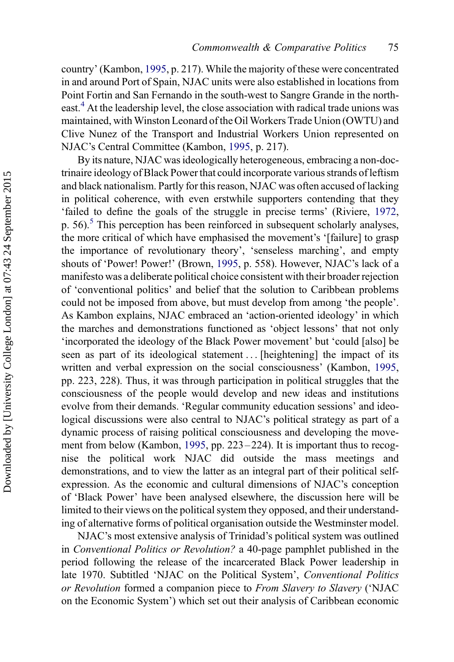country' (Kambon, [1995,](#page-23-0) p. 217). While the majority of these were concentrated in and around Port of Spain, NJAC units were also established in locations from Point Fortin and San Fernando in the south-west to Sangre Grande in the north-east.<sup>[4](#page-21-0)</sup> At the leadership level, the close association with radical trade unions was maintained, with Winston Leonard of the Oil Workers Trade Union (OWTU) and Clive Nunez of the Transport and Industrial Workers Union represented on NJAC's Central Committee (Kambon, [1995](#page-23-0), p. 217).

By its nature, NJAC was ideologically heterogeneous, embracing a non-doctrinaire ideology of Black Power that could incorporate various strands of leftism and black nationalism. Partly for this reason, NJAC was often accused of lacking in political coherence, with even erstwhile supporters contending that they 'failed to define the goals of the struggle in precise terms' (Riviere, [1972](#page-24-0), p. [5](#page-21-0)6).<sup>5</sup> This perception has been reinforced in subsequent scholarly analyses, the more critical of which have emphasised the movement's '[failure] to grasp the importance of revolutionary theory', 'senseless marching', and empty shouts of 'Power! Power!' (Brown, [1995](#page-23-0), p. 558). However, NJAC's lack of a manifesto was a deliberate political choice consistent with their broader rejection of 'conventional politics' and belief that the solution to Caribbean problems could not be imposed from above, but must develop from among 'the people'. As Kambon explains, NJAC embraced an 'action-oriented ideology' in which the marches and demonstrations functioned as 'object lessons' that not only 'incorporated the ideology of the Black Power movement' but 'could [also] be seen as part of its ideological statement ... [heightening] the impact of its written and verbal expression on the social consciousness' (Kambon, [1995](#page-23-0), pp. 223, 228). Thus, it was through participation in political struggles that the consciousness of the people would develop and new ideas and institutions evolve from their demands. 'Regular community education sessions' and ideological discussions were also central to NJAC's political strategy as part of a dynamic process of raising political consciousness and developing the move-ment from below (Kambon, [1995](#page-23-0), pp. 223–224). It is important thus to recognise the political work NJAC did outside the mass meetings and demonstrations, and to view the latter as an integral part of their political selfexpression. As the economic and cultural dimensions of NJAC's conception of 'Black Power' have been analysed elsewhere, the discussion here will be limited to their views on the political system they opposed, and their understanding of alternative forms of political organisation outside the Westminster model.

NJAC's most extensive analysis of Trinidad's political system was outlined in Conventional Politics or Revolution? a 40-page pamphlet published in the period following the release of the incarcerated Black Power leadership in late 1970. Subtitled 'NJAC on the Political System', Conventional Politics or Revolution formed a companion piece to From Slavery to Slavery ('NJAC on the Economic System') which set out their analysis of Caribbean economic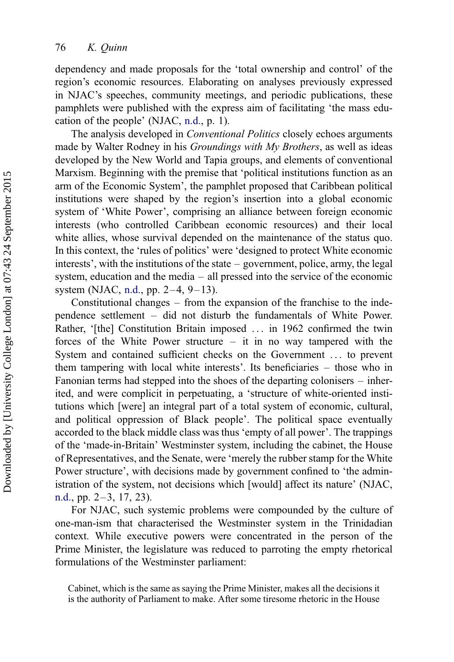dependency and made proposals for the 'total ownership and control' of the region's economic resources. Elaborating on analyses previously expressed in NJAC's speeches, community meetings, and periodic publications, these pamphlets were published with the express aim of facilitating 'the mass education of the people' (NJAC, [n.d.,](#page-24-0) p. 1).

The analysis developed in Conventional Politics closely echoes arguments made by Walter Rodney in his Groundings with My Brothers, as well as ideas developed by the New World and Tapia groups, and elements of conventional Marxism. Beginning with the premise that 'political institutions function as an arm of the Economic System', the pamphlet proposed that Caribbean political institutions were shaped by the region's insertion into a global economic system of 'White Power', comprising an alliance between foreign economic interests (who controlled Caribbean economic resources) and their local white allies, whose survival depended on the maintenance of the status quo. In this context, the 'rules of politics' were 'designed to protect White economic interests', with the institutions of the state – government, police, army, the legal system, education and the media – all pressed into the service of the economic system (NJAC, [n.d.](#page-24-0), pp. 2–4, 9–13).

Constitutional changes – from the expansion of the franchise to the independence settlement – did not disturb the fundamentals of White Power. Rather, '[the] Constitution Britain imposed ... in 1962 confirmed the twin forces of the White Power structure  $-$  it in no way tampered with the System and contained sufficient checks on the Government ... to prevent them tampering with local white interests'. Its beneficiaries – those who in Fanonian terms had stepped into the shoes of the departing colonisers – inherited, and were complicit in perpetuating, a 'structure of white-oriented institutions which [were] an integral part of a total system of economic, cultural, and political oppression of Black people'. The political space eventually accorded to the black middle class was thus 'empty of all power'. The trappings of the 'made-in-Britain' Westminster system, including the cabinet, the House of Representatives, and the Senate, were 'merely the rubber stamp for the White Power structure', with decisions made by government confined to 'the administration of the system, not decisions which [would] affect its nature' (NJAC, [n.d.,](#page-24-0) pp.  $2-3$ , 17, 23).

For NJAC, such systemic problems were compounded by the culture of one-man-ism that characterised the Westminster system in the Trinidadian context. While executive powers were concentrated in the person of the Prime Minister, the legislature was reduced to parroting the empty rhetorical formulations of the Westminster parliament:

Cabinet, which is the same as saying the Prime Minister, makes all the decisions it is the authority of Parliament to make. After some tiresome rhetoric in the House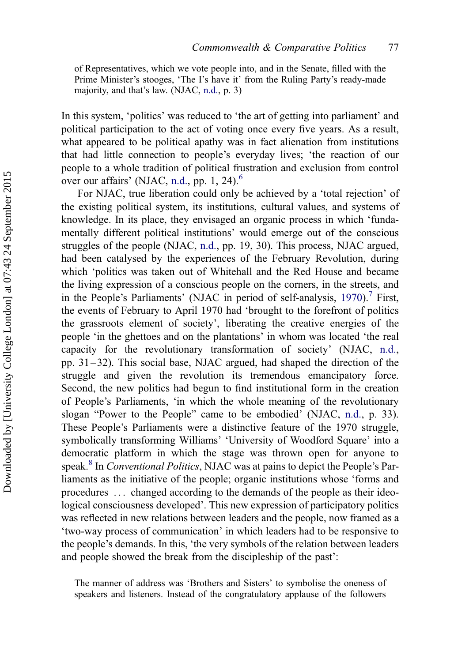of Representatives, which we vote people into, and in the Senate, filled with the Prime Minister's stooges, 'The I's have it' from the Ruling Party's ready-made majority, and that's law. (NJAC, [n.d.,](#page-24-0) p. 3)

In this system, 'politics' was reduced to 'the art of getting into parliament' and political participation to the act of voting once every five years. As a result, what appeared to be political apathy was in fact alienation from institutions that had little connection to people's everyday lives; 'the reaction of our people to a whole tradition of political frustration and exclusion from control over our affairs' (NJAC, [n.d.](#page-24-0), pp. 1, 24).<sup>[6](#page-21-0)</sup>

For NJAC, true liberation could only be achieved by a 'total rejection' of the existing political system, its institutions, cultural values, and systems of knowledge. In its place, they envisaged an organic process in which 'fundamentally different political institutions' would emerge out of the conscious struggles of the people (NJAC, [n.d.](#page-24-0), pp. 19, 30). This process, NJAC argued, had been catalysed by the experiences of the February Revolution, during which 'politics was taken out of Whitehall and the Red House and became the living expression of a conscious people on the corners, in the streets, and in the People's Parliaments' (NJAC in period of self-analysis,  $1970$  $1970$  $1970$ ).<sup>7</sup> First, the events of February to April 1970 had 'brought to the forefront of politics the grassroots element of society', liberating the creative energies of the people 'in the ghettoes and on the plantations' in whom was located 'the real capacity for the revolutionary transformation of society' (NJAC, [n.d.](#page-24-0), pp. 31 – 32). This social base, NJAC argued, had shaped the direction of the struggle and given the revolution its tremendous emancipatory force. Second, the new politics had begun to find institutional form in the creation of People's Parliaments, 'in which the whole meaning of the revolutionary slogan "Power to the People" came to be embodied' (NJAC, [n.d.](#page-24-0), p. 33). These People's Parliaments were a distinctive feature of the 1970 struggle, symbolically transforming Williams' 'University of Woodford Square' into a democratic platform in which the stage was thrown open for anyone to speak.<sup>[8](#page-21-0)</sup> In Conventional Politics, NJAC was at pains to depict the People's Parliaments as the initiative of the people; organic institutions whose 'forms and procedures ... changed according to the demands of the people as their ideological consciousness developed'. This new expression of participatory politics was reflected in new relations between leaders and the people, now framed as a 'two-way process of communication' in which leaders had to be responsive to the people's demands. In this, 'the very symbols of the relation between leaders and people showed the break from the discipleship of the past':

The manner of address was 'Brothers and Sisters' to symbolise the oneness of speakers and listeners. Instead of the congratulatory applause of the followers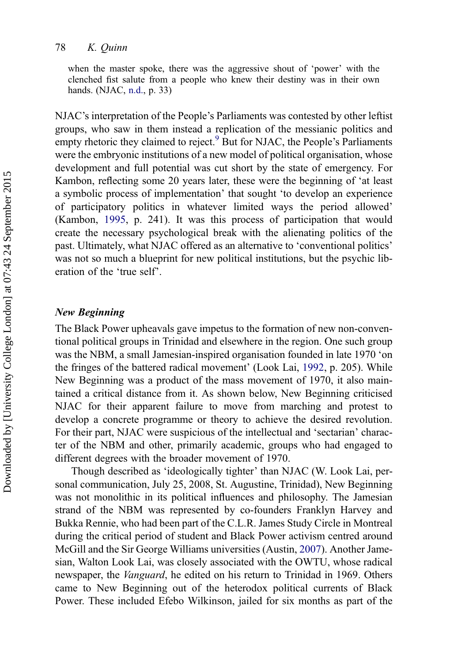#### 78 K. Quinn

when the master spoke, there was the aggressive shout of 'power' with the clenched fist salute from a people who knew their destiny was in their own hands. (NJAC, [n.d.](#page-24-0), p. 33)

NJAC's interpretation of the People's Parliaments was contested by other leftist groups, who saw in them instead a replication of the messianic politics and empty rhetoric they claimed to reject.<sup>[9](#page-21-0)</sup> But for NJAC, the People's Parliaments were the embryonic institutions of a new model of political organisation, whose development and full potential was cut short by the state of emergency. For Kambon, reflecting some 20 years later, these were the beginning of 'at least a symbolic process of implementation' that sought 'to develop an experience of participatory politics in whatever limited ways the period allowed' (Kambon, [1995](#page-23-0), p. 241). It was this process of participation that would create the necessary psychological break with the alienating politics of the past. Ultimately, what NJAC offered as an alternative to 'conventional politics' was not so much a blueprint for new political institutions, but the psychic liberation of the 'true self'.

#### New Beginning

The Black Power upheavals gave impetus to the formation of new non-conventional political groups in Trinidad and elsewhere in the region. One such group was the NBM, a small Jamesian-inspired organisation founded in late 1970 'on the fringes of the battered radical movement' (Look Lai, [1992,](#page-23-0) p. 205). While New Beginning was a product of the mass movement of 1970, it also maintained a critical distance from it. As shown below, New Beginning criticised NJAC for their apparent failure to move from marching and protest to develop a concrete programme or theory to achieve the desired revolution. For their part, NJAC were suspicious of the intellectual and 'sectarian' character of the NBM and other, primarily academic, groups who had engaged to different degrees with the broader movement of 1970.

Though described as 'ideologically tighter' than NJAC (W. Look Lai, personal communication, July 25, 2008, St. Augustine, Trinidad), New Beginning was not monolithic in its political influences and philosophy. The Jamesian strand of the NBM was represented by co-founders Franklyn Harvey and Bukka Rennie, who had been part of the C.L.R. James Study Circle in Montreal during the critical period of student and Black Power activism centred around McGill and the Sir George Williams universities (Austin, [2007\)](#page-23-0). Another Jamesian, Walton Look Lai, was closely associated with the OWTU, whose radical newspaper, the Vanguard, he edited on his return to Trinidad in 1969. Others came to New Beginning out of the heterodox political currents of Black Power. These included Efebo Wilkinson, jailed for six months as part of the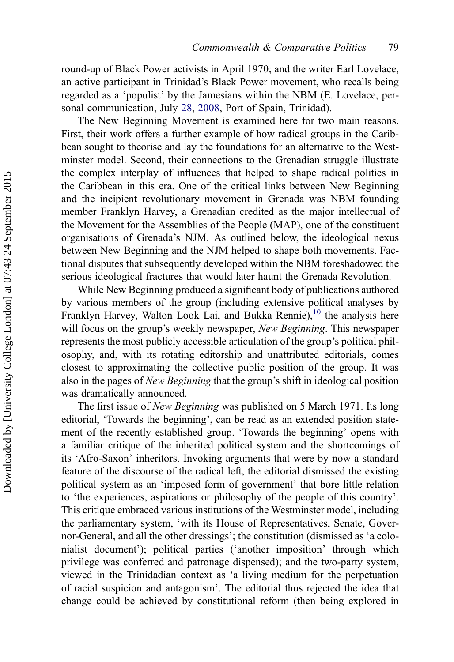round-up of Black Power activists in April 1970; and the writer Earl Lovelace, an active participant in Trinidad's Black Power movement, who recalls being regarded as a 'populist' by the Jamesians within the NBM (E. Lovelace, personal communication, July [28](#page-23-0), [2008,](#page-23-0) Port of Spain, Trinidad).

The New Beginning Movement is examined here for two main reasons. First, their work offers a further example of how radical groups in the Caribbean sought to theorise and lay the foundations for an alternative to the Westminster model. Second, their connections to the Grenadian struggle illustrate the complex interplay of influences that helped to shape radical politics in the Caribbean in this era. One of the critical links between New Beginning and the incipient revolutionary movement in Grenada was NBM founding member Franklyn Harvey, a Grenadian credited as the major intellectual of the Movement for the Assemblies of the People (MAP), one of the constituent organisations of Grenada's NJM. As outlined below, the ideological nexus between New Beginning and the NJM helped to shape both movements. Factional disputes that subsequently developed within the NBM foreshadowed the serious ideological fractures that would later haunt the Grenada Revolution.

While New Beginning produced a significant body of publications authored by various members of the group (including extensive political analyses by Franklyn Harvey, Walton Look Lai, and Bukka Rennie),<sup>[10](#page-21-0)</sup> the analysis here will focus on the group's weekly newspaper, New Beginning. This newspaper represents the most publicly accessible articulation of the group's political philosophy, and, with its rotating editorship and unattributed editorials, comes closest to approximating the collective public position of the group. It was also in the pages of New Beginning that the group's shift in ideological position was dramatically announced.

The first issue of New Beginning was published on 5 March 1971. Its long editorial, 'Towards the beginning', can be read as an extended position statement of the recently established group. 'Towards the beginning' opens with a familiar critique of the inherited political system and the shortcomings of its 'Afro-Saxon' inheritors. Invoking arguments that were by now a standard feature of the discourse of the radical left, the editorial dismissed the existing political system as an 'imposed form of government' that bore little relation to 'the experiences, aspirations or philosophy of the people of this country'. This critique embraced various institutions of the Westminster model, including the parliamentary system, 'with its House of Representatives, Senate, Governor-General, and all the other dressings'; the constitution (dismissed as 'a colonialist document'); political parties ('another imposition' through which privilege was conferred and patronage dispensed); and the two-party system, viewed in the Trinidadian context as 'a living medium for the perpetuation of racial suspicion and antagonism'. The editorial thus rejected the idea that change could be achieved by constitutional reform (then being explored in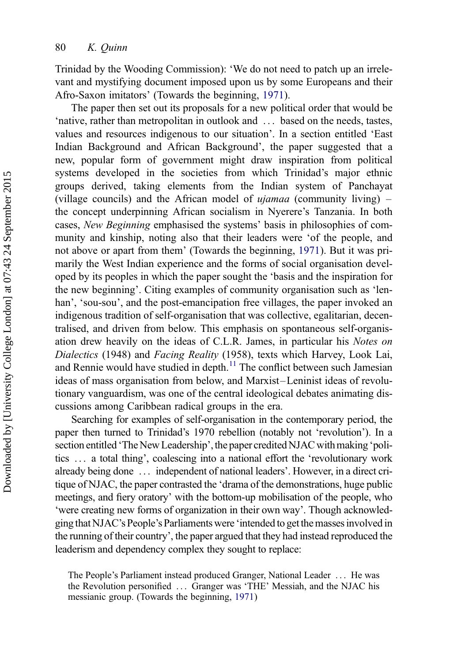Trinidad by the Wooding Commission): 'We do not need to patch up an irrelevant and mystifying document imposed upon us by some Europeans and their Afro-Saxon imitators' (Towards the beginning, [1971\)](#page-24-0).

The paper then set out its proposals for a new political order that would be 'native, rather than metropolitan in outlook and ... based on the needs, tastes, values and resources indigenous to our situation'. In a section entitled 'East Indian Background and African Background', the paper suggested that a new, popular form of government might draw inspiration from political systems developed in the societies from which Trinidad's major ethnic groups derived, taking elements from the Indian system of Panchayat (village councils) and the African model of  $ujamaa$  (community living) – the concept underpinning African socialism in Nyerere's Tanzania. In both cases, New Beginning emphasised the systems' basis in philosophies of community and kinship, noting also that their leaders were 'of the people, and not above or apart from them' (Towards the beginning, [1971\)](#page-24-0). But it was primarily the West Indian experience and the forms of social organisation developed by its peoples in which the paper sought the 'basis and the inspiration for the new beginning'. Citing examples of community organisation such as 'lenhan', 'sou-sou', and the post-emancipation free villages, the paper invoked an indigenous tradition of self-organisation that was collective, egalitarian, decentralised, and driven from below. This emphasis on spontaneous self-organisation drew heavily on the ideas of C.L.R. James, in particular his Notes on Dialectics (1948) and Facing Reality (1958), texts which Harvey, Look Lai, and Rennie would have studied in depth.<sup>[11](#page-21-0)</sup> The conflict between such Jamesian ideas of mass organisation from below, and Marxist –Leninist ideas of revolutionary vanguardism, was one of the central ideological debates animating discussions among Caribbean radical groups in the era.

Searching for examples of self-organisation in the contemporary period, the paper then turned to Trinidad's 1970 rebellion (notably not 'revolution'). In a section entitled 'The New Leadership', the paper credited NJAC with making 'politics ... a total thing', coalescing into a national effort the 'revolutionary work already being done ... independent of national leaders'. However, in a direct critique of NJAC, the paper contrasted the 'drama of the demonstrations, huge public meetings, and fiery oratory' with the bottom-up mobilisation of the people, who 'were creating new forms of organization in their own way'. Though acknowledgingthat NJAC's People's Parliaments were 'intended to get the masses involvedin the running of their country', the paper argued that they had instead reproduced the leaderism and dependency complex they sought to replace:

The People's Parliament instead produced Granger, National Leader ... He was the Revolution personified ... Granger was 'THE' Messiah, and the NJAC his messianic group. (Towards the beginning, [1971\)](#page-24-0)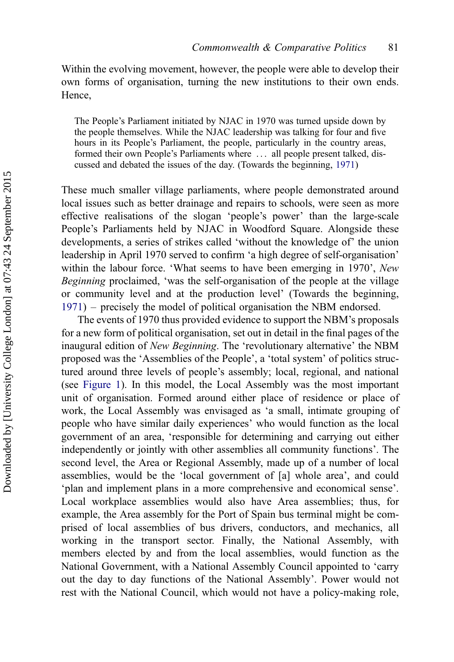Within the evolving movement, however, the people were able to develop their own forms of organisation, turning the new institutions to their own ends. Hence,

The People's Parliament initiated by NJAC in 1970 was turned upside down by the people themselves. While the NJAC leadership was talking for four and five hours in its People's Parliament, the people, particularly in the country areas, formed their own People's Parliaments where ... all people present talked, discussed and debated the issues of the day. (Towards the beginning, [1971](#page-24-0))

These much smaller village parliaments, where people demonstrated around local issues such as better drainage and repairs to schools, were seen as more effective realisations of the slogan 'people's power' than the large-scale People's Parliaments held by NJAC in Woodford Square. Alongside these developments, a series of strikes called 'without the knowledge of' the union leadership in April 1970 served to confirm 'a high degree of self-organisation' within the labour force. 'What seems to have been emerging in 1970', New Beginning proclaimed, 'was the self-organisation of the people at the village or community level and at the production level' (Towards the beginning, [1971\)](#page-24-0) – precisely the model of political organisation the NBM endorsed.

The events of 1970 thus provided evidence to support the NBM's proposals for a new form of political organisation, set out in detail in the final pages of the inaugural edition of New Beginning. The 'revolutionary alternative' the NBM proposed was the 'Assemblies of the People', a 'total system' of politics structured around three levels of people's assembly; local, regional, and national (see [Figure 1\)](#page-12-0). In this model, the Local Assembly was the most important unit of organisation. Formed around either place of residence or place of work, the Local Assembly was envisaged as 'a small, intimate grouping of people who have similar daily experiences' who would function as the local government of an area, 'responsible for determining and carrying out either independently or jointly with other assemblies all community functions'. The second level, the Area or Regional Assembly, made up of a number of local assemblies, would be the 'local government of [a] whole area', and could 'plan and implement plans in a more comprehensive and economical sense'. Local workplace assemblies would also have Area assemblies; thus, for example, the Area assembly for the Port of Spain bus terminal might be comprised of local assemblies of bus drivers, conductors, and mechanics, all working in the transport sector. Finally, the National Assembly, with members elected by and from the local assemblies, would function as the National Government, with a National Assembly Council appointed to 'carry out the day to day functions of the National Assembly'. Power would not rest with the National Council, which would not have a policy-making role,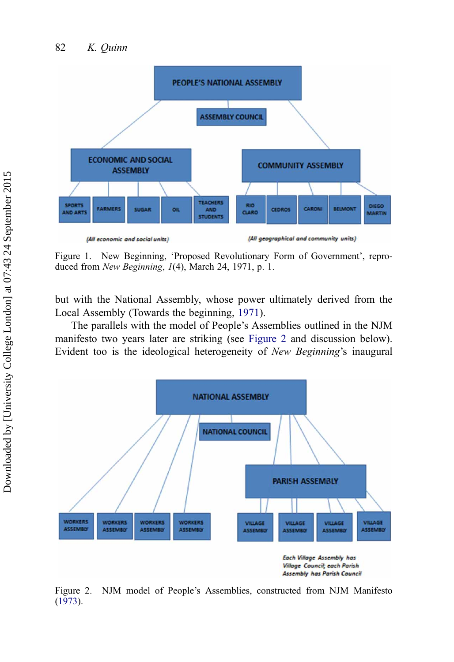<span id="page-12-0"></span>

Figure 1. New Beginning, 'Proposed Revolutionary Form of Government', reproduced from New Beginning, 1(4), March 24, 1971, p. 1.

but with the National Assembly, whose power ultimately derived from the Local Assembly (Towards the beginning, [1971\)](#page-24-0).

The parallels with the model of People's Assemblies outlined in the NJM manifesto two years later are striking (see Figure 2 and discussion below). Evident too is the ideological heterogeneity of New Beginning's inaugural



Figure 2. NJM model of People's Assemblies, constructed from NJM Manifesto ([1973\)](#page-23-0).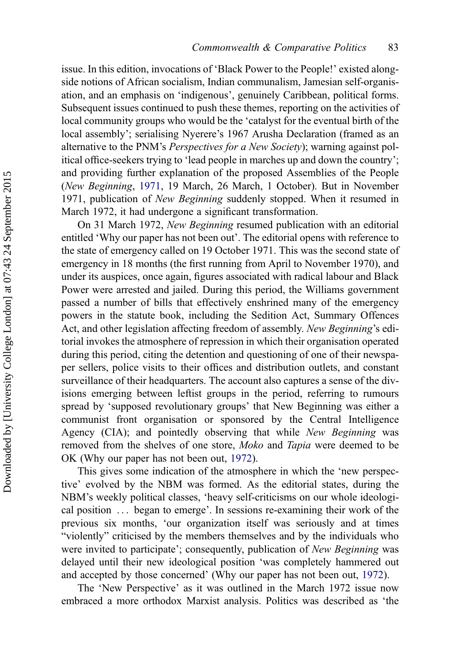issue. In this edition, invocations of 'Black Power to the People!' existed alongside notions of African socialism, Indian communalism, Jamesian self-organisation, and an emphasis on 'indigenous', genuinely Caribbean, political forms. Subsequent issues continued to push these themes, reporting on the activities of local community groups who would be the 'catalyst for the eventual birth of the local assembly'; serialising Nyerere's 1967 Arusha Declaration (framed as an alternative to the PNM's *Perspectives for a New Society*); warning against political office-seekers trying to 'lead people in marches up and down the country'; and providing further explanation of the proposed Assemblies of the People (New Beginning, [1971,](#page-24-0) 19 March, 26 March, 1 October). But in November 1971, publication of New Beginning suddenly stopped. When it resumed in March 1972, it had undergone a significant transformation.

On 31 March 1972, New Beginning resumed publication with an editorial entitled 'Why our paper has not been out'. The editorial opens with reference to the state of emergency called on 19 October 1971. This was the second state of emergency in 18 months (the first running from April to November 1970), and under its auspices, once again, figures associated with radical labour and Black Power were arrested and jailed. During this period, the Williams government passed a number of bills that effectively enshrined many of the emergency powers in the statute book, including the Sedition Act, Summary Offences Act, and other legislation affecting freedom of assembly. New Beginning's editorial invokes the atmosphere of repression in which their organisation operated during this period, citing the detention and questioning of one of their newspaper sellers, police visits to their offices and distribution outlets, and constant surveillance of their headquarters. The account also captures a sense of the divisions emerging between leftist groups in the period, referring to rumours spread by 'supposed revolutionary groups' that New Beginning was either a communist front organisation or sponsored by the Central Intelligence Agency (CIA); and pointedly observing that while New Beginning was removed from the shelves of one store, Moko and Tapia were deemed to be OK (Why our paper has not been out, [1972\)](#page-24-0).

This gives some indication of the atmosphere in which the 'new perspective' evolved by the NBM was formed. As the editorial states, during the NBM's weekly political classes, 'heavy self-criticisms on our whole ideological position ... began to emerge'. In sessions re-examining their work of the previous six months, 'our organization itself was seriously and at times "violently" criticised by the members themselves and by the individuals who were invited to participate'; consequently, publication of New Beginning was delayed until their new ideological position 'was completely hammered out and accepted by those concerned' (Why our paper has not been out, [1972\)](#page-24-0).

The 'New Perspective' as it was outlined in the March 1972 issue now embraced a more orthodox Marxist analysis. Politics was described as 'the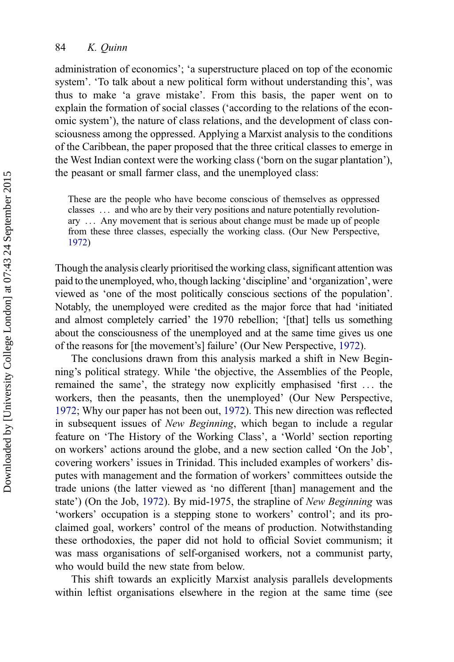administration of economics'; 'a superstructure placed on top of the economic system'. 'To talk about a new political form without understanding this', was thus to make 'a grave mistake'. From this basis, the paper went on to explain the formation of social classes ('according to the relations of the economic system'), the nature of class relations, and the development of class consciousness among the oppressed. Applying a Marxist analysis to the conditions of the Caribbean, the paper proposed that the three critical classes to emerge in the West Indian context were the working class ('born on the sugar plantation'), the peasant or small farmer class, and the unemployed class:

These are the people who have become conscious of themselves as oppressed classes ... and who are by their very positions and nature potentially revolutionary ... Any movement that is serious about change must be made up of people from these three classes, especially the working class. (Our New Perspective, [1972\)](#page-24-0)

Though the analysis clearly prioritised the working class, significant attention was paid to the unemployed, who, though lacking 'discipline' and 'organization', were viewed as 'one of the most politically conscious sections of the population'. Notably, the unemployed were credited as the major force that had 'initiated and almost completely carried' the 1970 rebellion; '[that] tells us something about the consciousness of the unemployed and at the same time gives us one of the reasons for [the movement's] failure' (Our New Perspective, [1972\)](#page-24-0).

The conclusions drawn from this analysis marked a shift in New Beginning's political strategy. While 'the objective, the Assemblies of the People, remained the same', the strategy now explicitly emphasised 'first ... the workers, then the peasants, then the unemployed' (Our New Perspective, [1972;](#page-24-0) Why our paper has not been out, [1972\)](#page-24-0). This new direction was reflected in subsequent issues of New Beginning, which began to include a regular feature on 'The History of the Working Class', a 'World' section reporting on workers' actions around the globe, and a new section called 'On the Job', covering workers' issues in Trinidad. This included examples of workers' disputes with management and the formation of workers' committees outside the trade unions (the latter viewed as 'no different [than] management and the state') (On the Job, [1972](#page-24-0)). By mid-1975, the strapline of New Beginning was 'workers' occupation is a stepping stone to workers' control'; and its proclaimed goal, workers' control of the means of production. Notwithstanding these orthodoxies, the paper did not hold to official Soviet communism; it was mass organisations of self-organised workers, not a communist party, who would build the new state from below.

This shift towards an explicitly Marxist analysis parallels developments within leftist organisations elsewhere in the region at the same time (see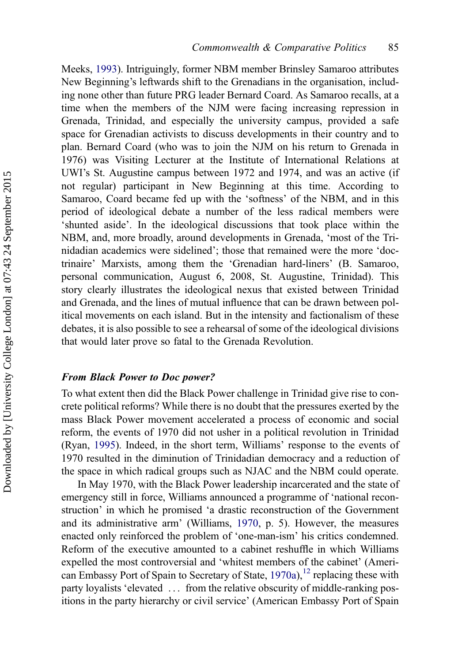Meeks, [1993](#page-23-0)). Intriguingly, former NBM member Brinsley Samaroo attributes New Beginning's leftwards shift to the Grenadians in the organisation, including none other than future PRG leader Bernard Coard. As Samaroo recalls, at a time when the members of the NJM were facing increasing repression in Grenada, Trinidad, and especially the university campus, provided a safe space for Grenadian activists to discuss developments in their country and to plan. Bernard Coard (who was to join the NJM on his return to Grenada in 1976) was Visiting Lecturer at the Institute of International Relations at UWI's St. Augustine campus between 1972 and 1974, and was an active (if not regular) participant in New Beginning at this time. According to Samaroo, Coard became fed up with the 'softness' of the NBM, and in this period of ideological debate a number of the less radical members were 'shunted aside'. In the ideological discussions that took place within the NBM, and, more broadly, around developments in Grenada, 'most of the Trinidadian academics were sidelined'; those that remained were the more 'doctrinaire' Marxists, among them the 'Grenadian hard-liners' (B. Samaroo, personal communication, August 6, 2008, St. Augustine, Trinidad). This story clearly illustrates the ideological nexus that existed between Trinidad and Grenada, and the lines of mutual influence that can be drawn between political movements on each island. But in the intensity and factionalism of these debates, it is also possible to see a rehearsal of some of the ideological divisions that would later prove so fatal to the Grenada Revolution.

# From Black Power to Doc power?

To what extent then did the Black Power challenge in Trinidad give rise to concrete political reforms? While there is no doubt that the pressures exerted by the mass Black Power movement accelerated a process of economic and social reform, the events of 1970 did not usher in a political revolution in Trinidad (Ryan, [1995\)](#page-24-0). Indeed, in the short term, Williams' response to the events of 1970 resulted in the diminution of Trinidadian democracy and a reduction of the space in which radical groups such as NJAC and the NBM could operate.

In May 1970, with the Black Power leadership incarcerated and the state of emergency still in force, Williams announced a programme of 'national reconstruction' in which he promised 'a drastic reconstruction of the Government and its administrative arm' (Williams, [1970,](#page-24-0) p. 5). However, the measures enacted only reinforced the problem of 'one-man-ism' his critics condemned. Reform of the executive amounted to a cabinet reshuffle in which Williams expelled the most controversial and 'whitest members of the cabinet' (American Embassy Port of Spain to Secretary of State,  $1970a$ ,  $12$  replacing these with party loyalists 'elevated ... from the relative obscurity of middle-ranking positions in the party hierarchy or civil service' (American Embassy Port of Spain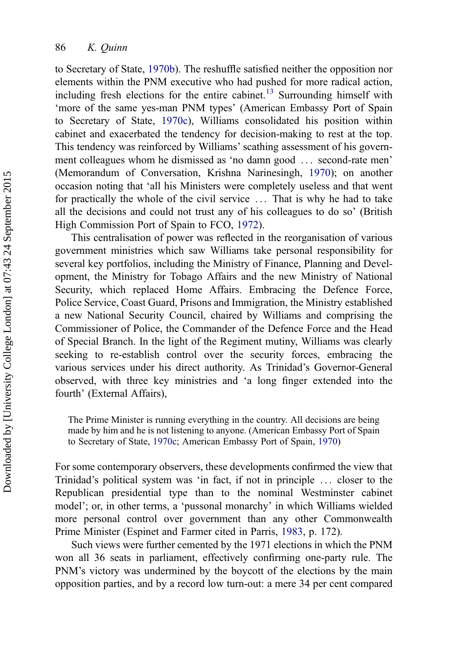to Secretary of State, [1970b\)](#page-22-0). The reshuffle satisfied neither the opposition nor elements within the PNM executive who had pushed for more radical action, including fresh elections for the entire cabinet.<sup>[13](#page-22-0)</sup> Surrounding himself with 'more of the same yes-man PNM types' (American Embassy Port of Spain to Secretary of State, [1970c\)](#page-22-0), Williams consolidated his position within cabinet and exacerbated the tendency for decision-making to rest at the top. This tendency was reinforced by Williams' scathing assessment of his government colleagues whom he dismissed as 'no damn good ... second-rate men' (Memorandum of Conversation, Krishna Narinesingh, [1970\)](#page-23-0); on another occasion noting that 'all his Ministers were completely useless and that went for practically the whole of the civil service ... That is why he had to take all the decisions and could not trust any of his colleagues to do so' (British High Commission Port of Spain to FCO, [1972\)](#page-23-0).

This centralisation of power was reflected in the reorganisation of various government ministries which saw Williams take personal responsibility for several key portfolios, including the Ministry of Finance, Planning and Development, the Ministry for Tobago Affairs and the new Ministry of National Security, which replaced Home Affairs. Embracing the Defence Force, Police Service, Coast Guard, Prisons and Immigration, the Ministry established a new National Security Council, chaired by Williams and comprising the Commissioner of Police, the Commander of the Defence Force and the Head of Special Branch. In the light of the Regiment mutiny, Williams was clearly seeking to re-establish control over the security forces, embracing the various services under his direct authority. As Trinidad's Governor-General observed, with three key ministries and 'a long finger extended into the fourth' (External Affairs),

The Prime Minister is running everything in the country. All decisions are being made by him and he is not listening to anyone. (American Embassy Port of Spain to Secretary of State, [1970c](#page-22-0); American Embassy Port of Spain, [1970\)](#page-22-0)

For some contemporary observers, these developments confirmed the view that Trinidad's political system was 'in fact, if not in principle ... closer to the Republican presidential type than to the nominal Westminster cabinet model'; or, in other terms, a 'pussonal monarchy' in which Williams wielded more personal control over government than any other Commonwealth Prime Minister (Espinet and Farmer cited in Parris, [1983](#page-24-0), p. 172).

Such views were further cemented by the 1971 elections in which the PNM won all 36 seats in parliament, effectively confirming one-party rule. The PNM's victory was undermined by the boycott of the elections by the main opposition parties, and by a record low turn-out: a mere 34 per cent compared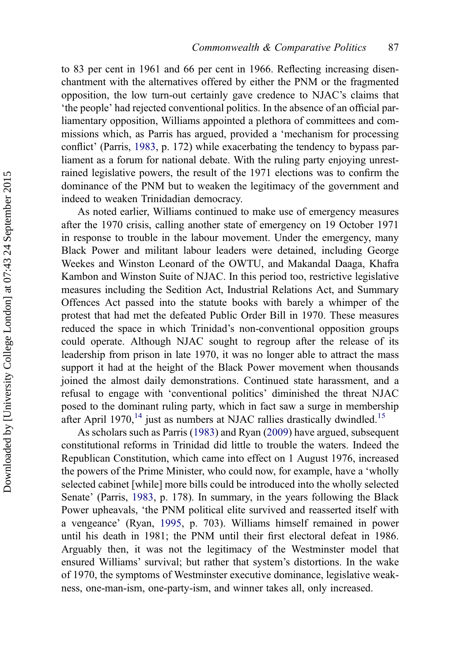to 83 per cent in 1961 and 66 per cent in 1966. Reflecting increasing disenchantment with the alternatives offered by either the PNM or the fragmented opposition, the low turn-out certainly gave credence to NJAC's claims that 'the people' had rejected conventional politics. In the absence of an official parliamentary opposition, Williams appointed a plethora of committees and commissions which, as Parris has argued, provided a 'mechanism for processing conflict' (Parris, [1983,](#page-24-0) p. 172) while exacerbating the tendency to bypass parliament as a forum for national debate. With the ruling party enjoying unrestrained legislative powers, the result of the 1971 elections was to confirm the dominance of the PNM but to weaken the legitimacy of the government and indeed to weaken Trinidadian democracy.

As noted earlier, Williams continued to make use of emergency measures after the 1970 crisis, calling another state of emergency on 19 October 1971 in response to trouble in the labour movement. Under the emergency, many Black Power and militant labour leaders were detained, including George Weekes and Winston Leonard of the OWTU, and Makandal Daaga, Khafra Kambon and Winston Suite of NJAC. In this period too, restrictive legislative measures including the Sedition Act, Industrial Relations Act, and Summary Offences Act passed into the statute books with barely a whimper of the protest that had met the defeated Public Order Bill in 1970. These measures reduced the space in which Trinidad's non-conventional opposition groups could operate. Although NJAC sought to regroup after the release of its leadership from prison in late 1970, it was no longer able to attract the mass support it had at the height of the Black Power movement when thousands joined the almost daily demonstrations. Continued state harassment, and a refusal to engage with 'conventional politics' diminished the threat NJAC posed to the dominant ruling party, which in fact saw a surge in membership after April 1970, $^{14}$  $^{14}$  $^{14}$  just as numbers at NJAC rallies drastically dwindled.<sup>[15](#page-22-0)</sup>

As scholars such as Parris ([1983\)](#page-24-0) and Ryan ([2009\)](#page-24-0) have argued, subsequent constitutional reforms in Trinidad did little to trouble the waters. Indeed the Republican Constitution, which came into effect on 1 August 1976, increased the powers of the Prime Minister, who could now, for example, have a 'wholly selected cabinet [while] more bills could be introduced into the wholly selected Senate' (Parris, [1983,](#page-24-0) p. 178). In summary, in the years following the Black Power upheavals, 'the PNM political elite survived and reasserted itself with a vengeance' (Ryan, [1995,](#page-24-0) p. 703). Williams himself remained in power until his death in 1981; the PNM until their first electoral defeat in 1986. Arguably then, it was not the legitimacy of the Westminster model that ensured Williams' survival; but rather that system's distortions. In the wake of 1970, the symptoms of Westminster executive dominance, legislative weakness, one-man-ism, one-party-ism, and winner takes all, only increased.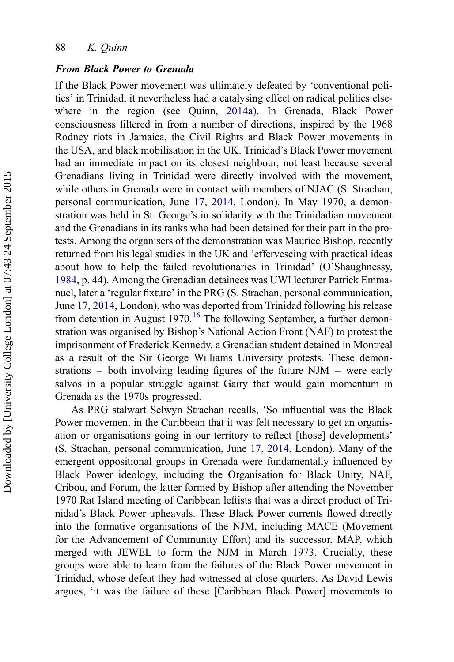#### From Black Power to Grenada

If the Black Power movement was ultimately defeated by 'conventional politics' in Trinidad, it nevertheless had a catalysing effect on radical politics elsewhere in the region (see Quinn, [2014a\)](#page-24-0). In Grenada, Black Power consciousness filtered in from a number of directions, inspired by the 1968 Rodney riots in Jamaica, the Civil Rights and Black Power movements in the USA, and black mobilisation in the UK. Trinidad's Black Power movement had an immediate impact on its closest neighbour, not least because several Grenadians living in Trinidad were directly involved with the movement, while others in Grenada were in contact with members of NJAC (S. Strachan, personal communication, June [17](#page-24-0), [2014,](#page-24-0) London). In May 1970, a demonstration was held in St. George's in solidarity with the Trinidadian movement and the Grenadians in its ranks who had been detained for their part in the protests. Among the organisers of the demonstration was Maurice Bishop, recently returned from his legal studies in the UK and 'effervescing with practical ideas about how to help the failed revolutionaries in Trinidad' (O'Shaughnessy, [1984,](#page-24-0) p. 44). Among the Grenadian detainees was UWI lecturer Patrick Emmanuel, later a 'regular fixture' in the PRG (S. Strachan, personal communication, June [17](#page-24-0), [2014](#page-24-0), London), who was deported from Trinidad following his release from detention in August 1970.<sup>[16](#page-22-0)</sup> The following September, a further demonstration was organised by Bishop's National Action Front (NAF) to protest the imprisonment of Frederick Kennedy, a Grenadian student detained in Montreal as a result of the Sir George Williams University protests. These demonstrations – both involving leading figures of the future NJM – were early salvos in a popular struggle against Gairy that would gain momentum in Grenada as the 1970s progressed.

As PRG stalwart Selwyn Strachan recalls, 'So influential was the Black Power movement in the Caribbean that it was felt necessary to get an organisation or organisations going in our territory to reflect [those] developments' (S. Strachan, personal communication, June [17](#page-24-0), [2014](#page-24-0), London). Many of the emergent oppositional groups in Grenada were fundamentally influenced by Black Power ideology, including the Organisation for Black Unity, NAF, Cribou, and Forum, the latter formed by Bishop after attending the November 1970 Rat Island meeting of Caribbean leftists that was a direct product of Trinidad's Black Power upheavals. These Black Power currents flowed directly into the formative organisations of the NJM, including MACE (Movement for the Advancement of Community Effort) and its successor, MAP, which merged with JEWEL to form the NJM in March 1973. Crucially, these groups were able to learn from the failures of the Black Power movement in Trinidad, whose defeat they had witnessed at close quarters. As David Lewis argues, 'it was the failure of these [Caribbean Black Power] movements to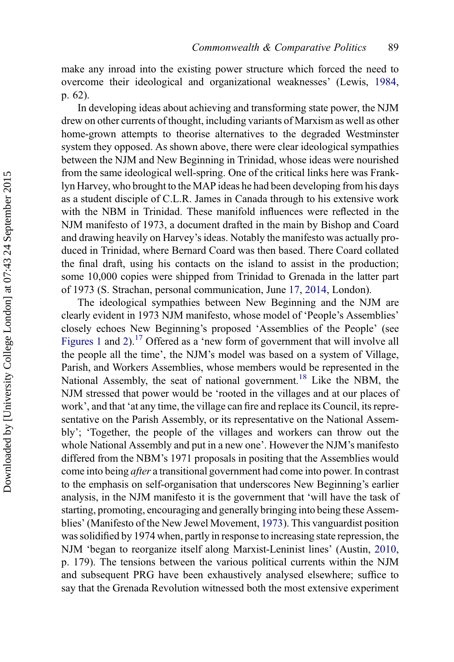make any inroad into the existing power structure which forced the need to overcome their ideological and organizational weaknesses' (Lewis, [1984](#page-23-0), p. 62).

In developing ideas about achieving and transforming state power, the NJM drew on other currents of thought, including variants of Marxism as well as other home-grown attempts to theorise alternatives to the degraded Westminster system they opposed. As shown above, there were clear ideological sympathies between the NJM and New Beginning in Trinidad, whose ideas were nourished from the same ideological well-spring. One of the critical links here was Franklyn Harvey, who brought to the MAP ideas he had been developing from his days as a student disciple of C.L.R. James in Canada through to his extensive work with the NBM in Trinidad. These manifold influences were reflected in the NJM manifesto of 1973, a document drafted in the main by Bishop and Coard and drawing heavily on Harvey's ideas. Notably the manifesto was actually produced in Trinidad, where Bernard Coard was then based. There Coard collated the final draft, using his contacts on the island to assist in the production; some 10,000 copies were shipped from Trinidad to Grenada in the latter part of 1973 (S. Strachan, personal communication, June [17,](#page-24-0) [2014,](#page-24-0) London).

The ideological sympathies between New Beginning and the NJM are clearly evident in 1973 NJM manifesto, whose model of 'People's Assemblies' closely echoes New Beginning's proposed 'Assemblies of the People' (see [Figures 1](#page-12-0) and [2\)](#page-12-0).<sup>[17](#page-22-0)</sup> Offered as a 'new form of government that will involve all the people all the time', the NJM's model was based on a system of Village, Parish, and Workers Assemblies, whose members would be represented in the National Assembly, the seat of national government.<sup>[18](#page-22-0)</sup> Like the NBM, the NJM stressed that power would be 'rooted in the villages and at our places of work', and that 'at any time, the village can fire and replace its Council, its representative on the Parish Assembly, or its representative on the National Assembly'; 'Together, the people of the villages and workers can throw out the whole National Assembly and put in a new one'. However the NJM's manifesto differed from the NBM's 1971 proposals in positing that the Assemblies would come into being after a transitional government had come into power. In contrast to the emphasis on self-organisation that underscores New Beginning's earlier analysis, in the NJM manifesto it is the government that 'will have the task of starting, promoting, encouraging and generally bringing into being these Assemblies' (Manifesto of the New Jewel Movement, [1973\)](#page-23-0). This vanguardist position was solidified by 1974 when, partly in response to increasing state repression, the NJM 'began to reorganize itself along Marxist-Leninist lines' (Austin, [2010](#page-23-0), p. 179). The tensions between the various political currents within the NJM and subsequent PRG have been exhaustively analysed elsewhere; suffice to say that the Grenada Revolution witnessed both the most extensive experiment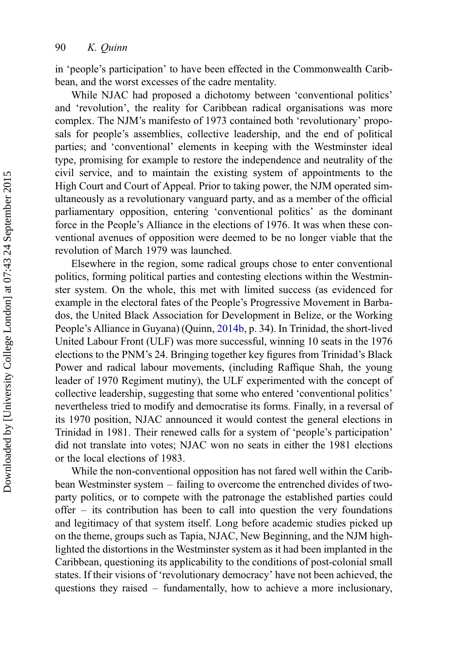in 'people's participation' to have been effected in the Commonwealth Caribbean, and the worst excesses of the cadre mentality.

While NJAC had proposed a dichotomy between 'conventional politics' and 'revolution', the reality for Caribbean radical organisations was more complex. The NJM's manifesto of 1973 contained both 'revolutionary' proposals for people's assemblies, collective leadership, and the end of political parties; and 'conventional' elements in keeping with the Westminster ideal type, promising for example to restore the independence and neutrality of the civil service, and to maintain the existing system of appointments to the High Court and Court of Appeal. Prior to taking power, the NJM operated simultaneously as a revolutionary vanguard party, and as a member of the official parliamentary opposition, entering 'conventional politics' as the dominant force in the People's Alliance in the elections of 1976. It was when these conventional avenues of opposition were deemed to be no longer viable that the revolution of March 1979 was launched.

Elsewhere in the region, some radical groups chose to enter conventional politics, forming political parties and contesting elections within the Westminster system. On the whole, this met with limited success (as evidenced for example in the electoral fates of the People's Progressive Movement in Barbados, the United Black Association for Development in Belize, or the Working People's Alliance in Guyana) (Quinn, [2014b,](#page-24-0) p. 34). In Trinidad, the short-lived United Labour Front (ULF) was more successful, winning 10 seats in the 1976 elections to the PNM's 24. Bringing together key figures from Trinidad's Black Power and radical labour movements, (including Raffique Shah, the young leader of 1970 Regiment mutiny), the ULF experimented with the concept of collective leadership, suggesting that some who entered 'conventional politics' nevertheless tried to modify and democratise its forms. Finally, in a reversal of its 1970 position, NJAC announced it would contest the general elections in Trinidad in 1981. Their renewed calls for a system of 'people's participation' did not translate into votes; NJAC won no seats in either the 1981 elections or the local elections of 1983.

While the non-conventional opposition has not fared well within the Caribbean Westminster system – failing to overcome the entrenched divides of twoparty politics, or to compete with the patronage the established parties could offer – its contribution has been to call into question the very foundations and legitimacy of that system itself. Long before academic studies picked up on the theme, groups such as Tapia, NJAC, New Beginning, and the NJM highlighted the distortions in the Westminster system as it had been implanted in the Caribbean, questioning its applicability to the conditions of post-colonial small states. If their visions of 'revolutionary democracy' have not been achieved, the questions they raised – fundamentally, how to achieve a more inclusionary,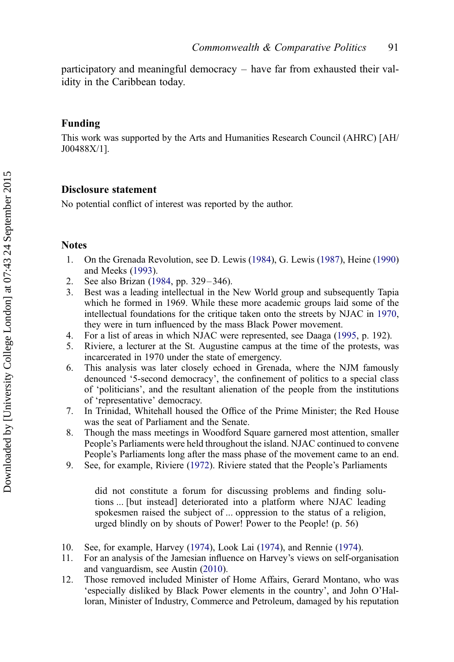<span id="page-21-0"></span>participatory and meaningful democracy – have far from exhausted their validity in the Caribbean today.

#### Funding

This work was supported by the Arts and Humanities Research Council (AHRC) [AH/ J00488X/1].

# Disclosure statement

No potential conflict of interest was reported by the author.

# **Notes**

- 1. On the Grenada Revolution, see D. Lewis ([1984\)](#page-23-0), G. Lewis ([1987\)](#page-23-0), Heine ([1990\)](#page-23-0) and Meeks ([1993\)](#page-23-0).
- 2. See also Brizan ([1984,](#page-23-0) pp. 329–346).
- 3. Best was a leading intellectual in the New World group and subsequently Tapia which he formed in 1969. While these more academic groups laid some of the intellectual foundations for the critique taken onto the streets by NJAC in [1970](#page-24-0), they were in turn influenced by the mass Black Power movement.
- 4. For a list of areas in which NJAC were represented, see Daaga ([1995](#page-23-0), p. 192).
- 5. Riviere, a lecturer at the St. Augustine campus at the time of the protests, was incarcerated in 1970 under the state of emergency.
- 6. This analysis was later closely echoed in Grenada, where the NJM famously denounced '5-second democracy', the confinement of politics to a special class of 'politicians', and the resultant alienation of the people from the institutions of 'representative' democracy.
- 7. In Trinidad, Whitehall housed the Office of the Prime Minister; the Red House was the seat of Parliament and the Senate.
- 8. Though the mass meetings in Woodford Square garnered most attention, smaller People's Parliaments were held throughout the island. NJAC continued to convene People's Parliaments long after the mass phase of the movement came to an end.
- 9. See, for example, Riviere ([1972\)](#page-24-0). Riviere stated that the People's Parliaments

did not constitute a forum for discussing problems and finding solutions ... [but instead] deteriorated into a platform where NJAC leading spokesmen raised the subject of ... oppression to the status of a religion, urged blindly on by shouts of Power! Power to the People! (p. 56)

- 10. See, for example, Harvey ([1974\)](#page-23-0), Look Lai [\(1974\)](#page-23-0), and Rennie ([1974\)](#page-24-0).
- 11. For an analysis of the Jamesian influence on Harvey's views on self-organisation and vanguardism, see Austin ([2010\)](#page-23-0).
- 12. Those removed included Minister of Home Affairs, Gerard Montano, who was 'especially disliked by Black Power elements in the country', and John O'Halloran, Minister of Industry, Commerce and Petroleum, damaged by his reputation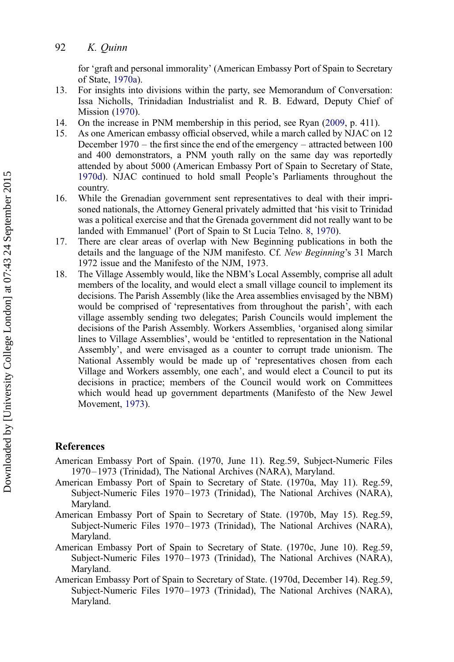<span id="page-22-0"></span>for 'graft and personal immorality' (American Embassy Port of Spain to Secretary of State, 1970a).

- 13. For insights into divisions within the party, see Memorandum of Conversation: Issa Nicholls, Trinidadian Industrialist and R. B. Edward, Deputy Chief of Mission [\(1970](#page-23-0)).
- 14. On the increase in PNM membership in this period, see Ryan ([2009,](#page-24-0) p. 411).
- 15. As one American embassy official observed, while a march called by NJAC on 12 December 1970 – the first since the end of the emergency – attracted between 100 and 400 demonstrators, a PNM youth rally on the same day was reportedly attended by about 5000 (American Embassy Port of Spain to Secretary of State, 1970d). NJAC continued to hold small People's Parliaments throughout the country.
- 16. While the Grenadian government sent representatives to deal with their imprisoned nationals, the Attorney General privately admitted that 'his visit to Trinidad was a political exercise and that the Grenada government did not really want to be landed with Emmanuel' (Port of Spain to St Lucia Telno. [8](#page-24-0), [1970](#page-24-0)).
- 17. There are clear areas of overlap with New Beginning publications in both the details and the language of the NJM manifesto. Cf. New Beginning's 31 March 1972 issue and the Manifesto of the NJM, 1973.
- 18. The Village Assembly would, like the NBM's Local Assembly, comprise all adult members of the locality, and would elect a small village council to implement its decisions. The Parish Assembly (like the Area assemblies envisaged by the NBM) would be comprised of 'representatives from throughout the parish', with each village assembly sending two delegates; Parish Councils would implement the decisions of the Parish Assembly. Workers Assemblies, 'organised along similar lines to Village Assemblies', would be 'entitled to representation in the National Assembly', and were envisaged as a counter to corrupt trade unionism. The National Assembly would be made up of 'representatives chosen from each Village and Workers assembly, one each', and would elect a Council to put its decisions in practice; members of the Council would work on Committees which would head up government departments (Manifesto of the New Jewel Movement, [1973\)](#page-23-0).

# References

- American Embassy Port of Spain. (1970, June 11). Reg.59, Subject-Numeric Files 1970–1973 (Trinidad), The National Archives (NARA), Maryland.
- American Embassy Port of Spain to Secretary of State. (1970a, May 11). Reg.59, Subject-Numeric Files 1970–1973 (Trinidad), The National Archives (NARA), Maryland.
- American Embassy Port of Spain to Secretary of State. (1970b, May 15). Reg.59, Subject-Numeric Files 1970–1973 (Trinidad), The National Archives (NARA), Maryland.
- American Embassy Port of Spain to Secretary of State. (1970c, June 10). Reg.59, Subject-Numeric Files 1970–1973 (Trinidad), The National Archives (NARA), Maryland.
- American Embassy Port of Spain to Secretary of State. (1970d, December 14). Reg.59, Subject-Numeric Files 1970–1973 (Trinidad), The National Archives (NARA), Maryland.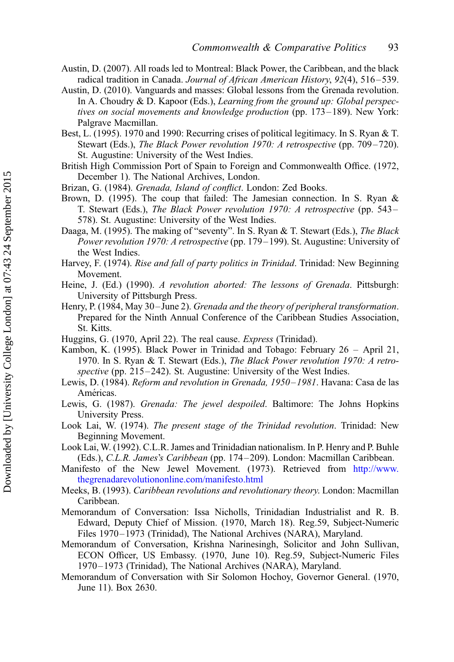- <span id="page-23-0"></span>Austin, D. (2007). All roads led to Montreal: Black Power, the Caribbean, and the black radical tradition in Canada. Journal of African American History, 92(4), 516-539.
- Austin, D. (2010). Vanguards and masses: Global lessons from the Grenada revolution. In A. Choudry & D. Kapoor (Eds.), Learning from the ground up: Global perspectives on social movements and knowledge production (pp. 173–189). New York: Palgrave Macmillan.
- Best, L. (1995). 1970 and 1990: Recurring crises of political legitimacy. In S. Ryan & T. Stewart (Eds.), The Black Power revolution 1970: A retrospective (pp. 709–720). St. Augustine: University of the West Indies.
- British High Commission Port of Spain to Foreign and Commonwealth Office. (1972, December 1). The National Archives, London.
- Brizan, G. (1984). Grenada, Island of conflict. London: Zed Books.
- Brown, D. (1995). The coup that failed: The Jamesian connection. In S. Ryan & T. Stewart (Eds.), The Black Power revolution 1970: A retrospective (pp. 543 – 578). St. Augustine: University of the West Indies.
- Daaga, M. (1995). The making of "seventy". In S. Ryan & T. Stewart (Eds.), The Black Power revolution 1970: A retrospective (pp. 179–199). St. Augustine: University of the West Indies.
- Harvey, F. (1974). Rise and fall of party politics in Trinidad. Trinidad: New Beginning Movement.
- Heine, J. (Ed.) (1990). A revolution aborted: The lessons of Grenada. Pittsburgh: University of Pittsburgh Press.
- Henry, P. (1984, May 30-June 2). Grenada and the theory of peripheral transformation. Prepared for the Ninth Annual Conference of the Caribbean Studies Association, St. Kitts.
- Huggins, G. (1970, April 22). The real cause. Express (Trinidad).
- Kambon, K. (1995). Black Power in Trinidad and Tobago: February 26 April 21, 1970. In S. Ryan & T. Stewart (Eds.), The Black Power revolution 1970: A retrospective (pp. 215–242). St. Augustine: University of the West Indies.
- Lewis, D. (1984). Reform and revolution in Grenada, 1950–1981. Havana: Casa de las Américas.
- Lewis, G. (1987). Grenada: The jewel despoiled. Baltimore: The Johns Hopkins University Press.
- Look Lai, W. (1974). The present stage of the Trinidad revolution. Trinidad: New Beginning Movement.
- Look Lai, W. (1992). C.L.R. James and Trinidadian nationalism. In P. Henry and P. Buhle (Eds.), C.L.R. James's Caribbean (pp. 174 –209). London: Macmillan Caribbean.
- Manifesto of the New Jewel Movement. (1973). Retrieved from [http://www.](http://www.thegrenadarevolutiononline.com/manifesto.html) [thegrenadarevolutiononline.com/manifesto.html](http://www.thegrenadarevolutiononline.com/manifesto.html)
- Meeks, B. (1993). Caribbean revolutions and revolutionary theory. London: Macmillan Caribbean.
- Memorandum of Conversation: Issa Nicholls, Trinidadian Industrialist and R. B. Edward, Deputy Chief of Mission. (1970, March 18). Reg.59, Subject-Numeric Files 1970–1973 (Trinidad), The National Archives (NARA), Maryland.
- Memorandum of Conversation, Krishna Narinesingh, Solicitor and John Sullivan, ECON Officer, US Embassy. (1970, June 10). Reg.59, Subject-Numeric Files 1970–1973 (Trinidad), The National Archives (NARA), Maryland.
- Memorandum of Conversation with Sir Solomon Hochoy, Governor General. (1970, June 11). Box 2630.